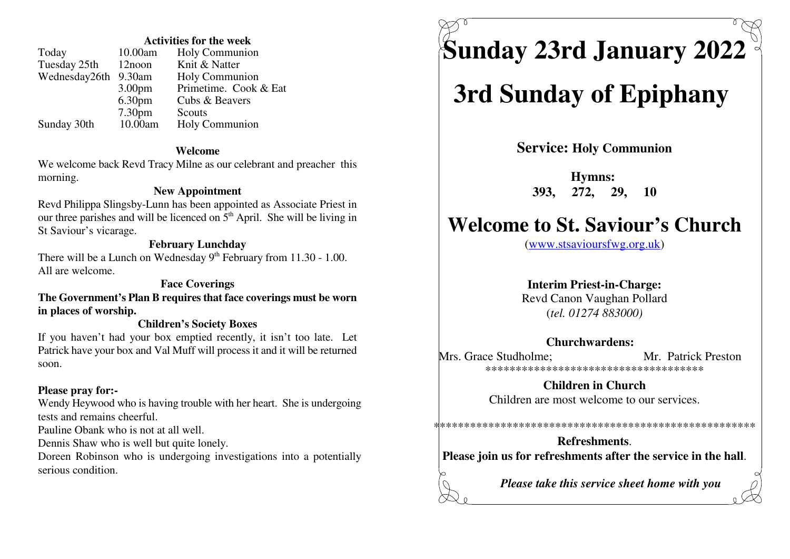### **Activities for the week**

| Today         | 10.00am            | Holy Communion        |
|---------------|--------------------|-----------------------|
| Tuesday 25th  | 12noon             | Knit & Natter         |
| Wednesday26th | 9.30am             | Holy Communion        |
|               | 3.00 <sub>pm</sub> | Primetime. Cook & Eat |
|               | 6.30 <sub>pm</sub> | Cubs & Beavers        |
|               | 7.30 <sub>pm</sub> | Scouts                |
| Sunday 30th   | 10.00am            | Holy Communion        |

### **Welcome**

 We welcome back Revd Tracy Milne as our celebrant and preacher thismorning.**Hymns:** 

### **New Appointment**

 Revd Philippa Slingsby-Lunn has been appointed as Associate Priest inour three parishes and will be licenced on  $5<sup>th</sup>$  April. She will be living in St Saviour's vicarage.

### **February Lunchday**

There will be a Lunch on Wednesday  $9<sup>th</sup>$  February from 11.30 - 1.00. All are welcome.

### **Face Coverings**

 **The Government's Plan B requires that face coverings must be wornin places of worship.**

### **Children's Society Boxes**

 If you haven't had your box emptied recently, it isn't too late. Let Patrick have your box and Val Muff will process it and it will be returnedsoon.

### **Please pray for:-**

 Wendy Heywood who is having trouble with her heart. She is undergoingtests and remains cheerful.

Pauline Obank who is not at all well.

Dennis Shaw who is well but quite lonely.

 Doreen Robinson who is undergoing investigations into a potentiallyserious condition.

# **Sunday 23rd January 2022**

## **3rd Sunday of Epiphany**

**Service: Holy Communion**

**393, 272, 29, 10**

## **Welcome to St. Saviour's Church**

(www.stsavioursfwg.org.uk)

### **Interim Priest-in-Charge:**

 Revd Canon Vaughan Pollard(*tel. 01274 883000)*

### **Churchwardens:**

Mrs. Grace Studholme: Mr. Patrick Preston \*\*\*\*\*\*\*\*\*\*\*\*\*\*\*\*\*\*\*\*\*\*\*\*\*\*\*\*\*\*\*\*\*\*\*\*

> **Children in Church**Children are most welcome to our services.

**Refreshments**.**Please join us for refreshments after the service in the hall**.

\*\*\*\*\*\*\*\*\*\*\*\*\*\*\*\*\*\*\*\*\*\*\*\*\*\*\*\*\*\*\*\*\*\*\*\*\*\*\*\*\*\*\*\*\*\*\*\*\*\*\*\*\*

*Please take this service sheet home with you*